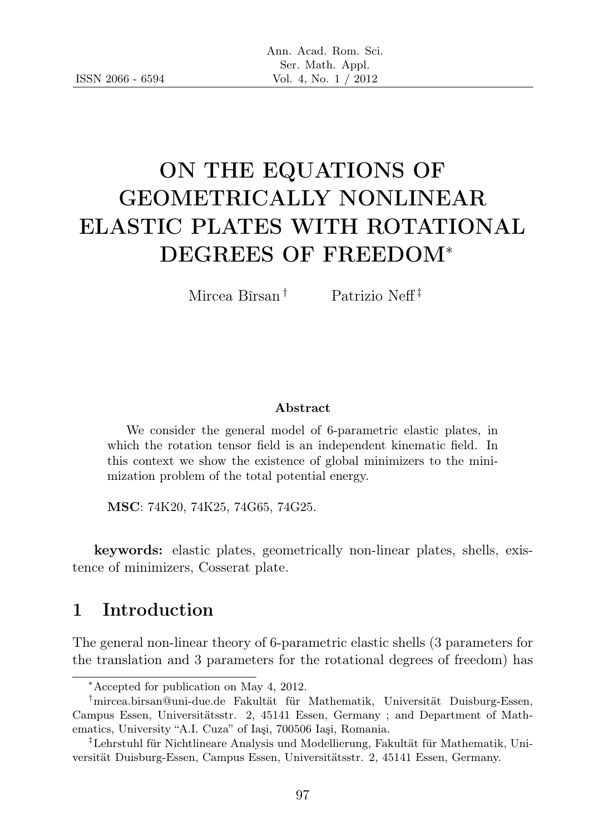# ON THE EQUATIONS OF GEOMETRICALLY NONLINEAR ELASTIC PLATES WITH ROTATIONAL DEGREES OF FREEDOM<sup>∗</sup>

Mircea Bîrsan † Patrizio Neff ‡

#### Abstract

We consider the general model of 6-parametric elastic plates, in which the rotation tensor field is an independent kinematic field. In this context we show the existence of global minimizers to the minimization problem of the total potential energy.

MSC: 74K20, 74K25, 74G65, 74G25.

keywords: elastic plates, geometrically non-linear plates, shells, existence of minimizers, Cosserat plate.

## 1 Introduction

The general non-linear theory of 6-parametric elastic shells (3 parameters for the translation and 3 parameters for the rotational degrees of freedom) has

<sup>∗</sup>Accepted for publication on May 4, 2012.

<sup>†</sup>mircea.birsan@uni-due.de Fakultät für Mathematik, Universität Duisburg-Essen, Campus Essen, Universitätsstr. 2, 45141 Essen, Germany ; and Department of Mathematics, University "A.I. Cuza" of Iaşi, 700506 Iaşi, Romania.

<sup>‡</sup>Lehrstuhl für Nichtlineare Analysis und Modellierung, Fakultät für Mathematik, Universität Duisburg-Essen, Campus Essen, Universitätsstr. 2, 45141 Essen, Germany.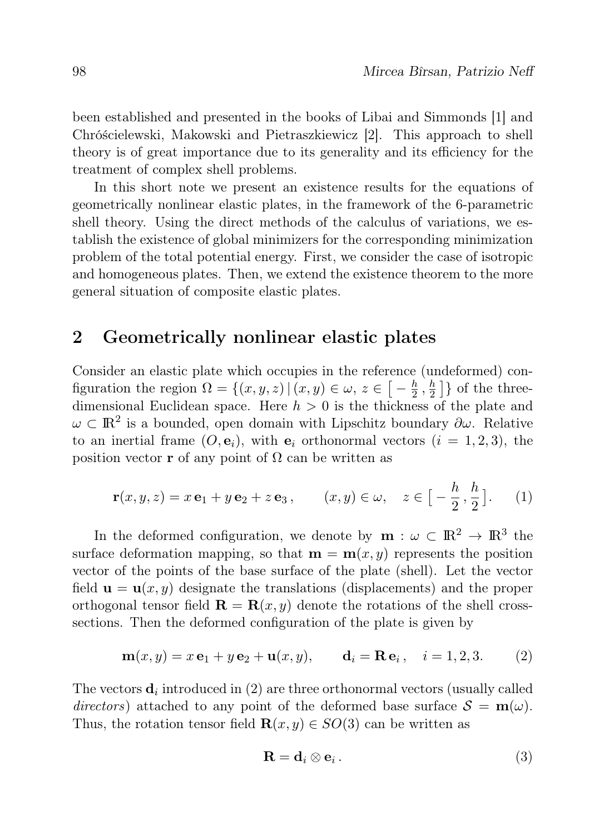been established and presented in the books of Libai and Simmonds [1] and Chróścielewski, Makowski and Pietraszkiewicz [2]. This approach to shell theory is of great importance due to its generality and its efficiency for the treatment of complex shell problems.

In this short note we present an existence results for the equations of geometrically nonlinear elastic plates, in the framework of the 6-parametric shell theory. Using the direct methods of the calculus of variations, we establish the existence of global minimizers for the corresponding minimization problem of the total potential energy. First, we consider the case of isotropic and homogeneous plates. Then, we extend the existence theorem to the more general situation of composite elastic plates.

### 2 Geometrically nonlinear elastic plates

Consider an elastic plate which occupies in the reference (undeformed) configuration the region  $\Omega = \{(x, y, z) | (x, y) \in \omega, z \in \{-\frac{h}{2}\}\}$  $\frac{h}{2}$  ,  $\frac{h}{2}$  $\frac{h}{2}$  } of the threedimensional Euclidean space. Here  $h > 0$  is the thickness of the plate and  $\omega \subset \mathbb{R}^2$  is a bounded, open domain with Lipschitz boundary  $\partial \omega$ . Relative to an inertial frame  $(O, e_i)$ , with  $e_i$  orthonormal vectors  $(i = 1, 2, 3)$ , the position vector **r** of any point of  $\Omega$  can be written as

$$
\mathbf{r}(x, y, z) = x \mathbf{e}_1 + y \mathbf{e}_2 + z \mathbf{e}_3, \qquad (x, y) \in \omega, \quad z \in \left[ -\frac{h}{2}, \frac{h}{2} \right]. \tag{1}
$$

In the deformed configuration, we denote by  $\mathbf{m} : \omega \subset \mathbb{R}^2 \to \mathbb{R}^3$  the surface deformation mapping, so that  $\mathbf{m} = \mathbf{m}(x, y)$  represents the position vector of the points of the base surface of the plate (shell). Let the vector field  $\mathbf{u} = \mathbf{u}(x, y)$  designate the translations (displacements) and the proper orthogonal tensor field  $\mathbf{R} = \mathbf{R}(x, y)$  denote the rotations of the shell crosssections. Then the deformed configuration of the plate is given by

$$
m(x, y) = x e1 + y e2 + u(x, y), di = Rei, i = 1, 2, 3.
$$
 (2)

The vectors  $\mathbf{d}_i$  introduced in (2) are three orthonormal vectors (usually called directors) attached to any point of the deformed base surface  $S = m(\omega)$ . Thus, the rotation tensor field  $\mathbf{R}(x, y) \in SO(3)$  can be written as

$$
\mathbf{R} = \mathbf{d}_i \otimes \mathbf{e}_i. \tag{3}
$$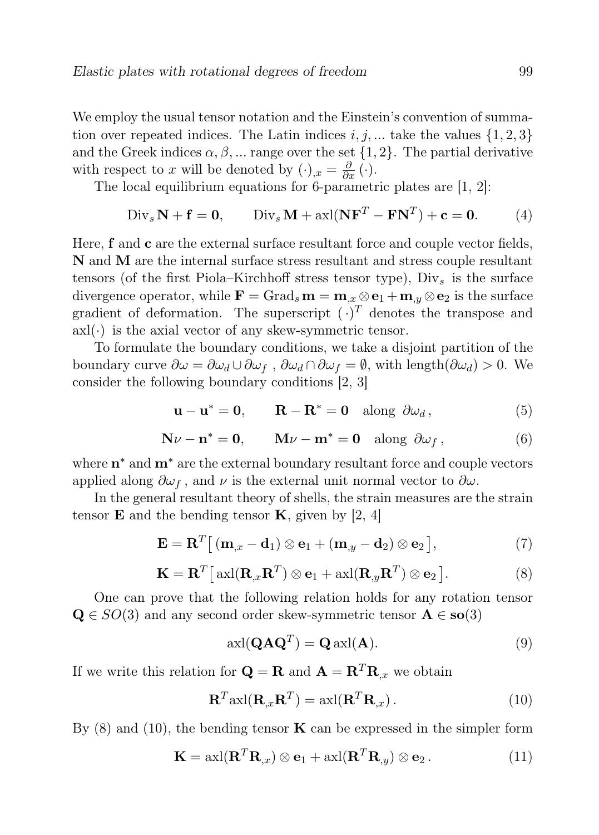We employ the usual tensor notation and the Einstein's convention of summation over repeated indices. The Latin indices  $i, j, \dots$  take the values  $\{1, 2, 3\}$ and the Greek indices  $\alpha, \beta, \dots$  range over the set  $\{1, 2\}$ . The partial derivative with respect to x will be denoted by  $(\cdot)_{,x} = \frac{\partial}{\partial x} (\cdot)$ .

The local equilibrium equations for 6-parametric plates are [1, 2]:

$$
\text{Div}_s \mathbf{N} + \mathbf{f} = \mathbf{0}, \qquad \text{Div}_s \mathbf{M} + \text{axl}(\mathbf{N} \mathbf{F}^T - \mathbf{F} \mathbf{N}^T) + \mathbf{c} = \mathbf{0}.
$$
 (4)

Here, f and c are the external surface resultant force and couple vector fields, N and M are the internal surface stress resultant and stress couple resultant tensors (of the first Piola–Kirchhoff stress tensor type),  $\text{Div}_s$  is the surface divergence operator, while  $\mathbf{F} = \text{Grad}_s \mathbf{m} = \mathbf{m}_{x} \otimes \mathbf{e}_1 + \mathbf{m}_{y} \otimes \mathbf{e}_2$  is the surface gradient of deformation. The superscript  $(\cdot)^T$  denotes the transpose and  $axl(\cdot)$  is the axial vector of any skew-symmetric tensor.

To formulate the boundary conditions, we take a disjoint partition of the boundary curve  $\partial \omega = \partial \omega_d \cup \partial \omega_f$ ,  $\partial \omega_d \cap \partial \omega_f = \emptyset$ , with length $(\partial \omega_d) > 0$ . We consider the following boundary conditions [2, 3]

$$
\mathbf{u} - \mathbf{u}^* = \mathbf{0}, \qquad \mathbf{R} - \mathbf{R}^* = \mathbf{0} \quad \text{along } \partial \omega_d, \tag{5}
$$

$$
\mathbf{N}\nu - \mathbf{n}^* = \mathbf{0}, \qquad \mathbf{M}\nu - \mathbf{m}^* = \mathbf{0} \quad \text{along } \partial \omega_f, \qquad (6)
$$

where  $\mathbf{n}^*$  and  $\mathbf{m}^*$  are the external boundary resultant force and couple vectors applied along  $\partial \omega_f$ , and  $\nu$  is the external unit normal vector to  $\partial \omega$ .

In the general resultant theory of shells, the strain measures are the strain tensor **E** and the bending tensor **K**, given by [2, 4]

$$
\mathbf{E} = \mathbf{R}^{T} \big[ \left( \mathbf{m}_{,x} - \mathbf{d}_{1} \right) \otimes \mathbf{e}_{1} + \left( \mathbf{m}_{,y} - \mathbf{d}_{2} \right) \otimes \mathbf{e}_{2} \big], \tag{7}
$$

$$
\mathbf{K} = \mathbf{R}^T [\text{axl}(\mathbf{R}_{,x}\mathbf{R}^T) \otimes \mathbf{e}_1 + \text{axl}(\mathbf{R}_{,y}\mathbf{R}^T) \otimes \mathbf{e}_2].
$$
 (8)

One can prove that the following relation holds for any rotation tensor  $\mathbf{Q} \in SO(3)$  and any second order skew-symmetric tensor  $\mathbf{A} \in SO(3)$ 

$$
axI(QAQT) = QaxI(A).
$$
 (9)

If we write this relation for  $\mathbf{Q} = \mathbf{R}$  and  $\mathbf{A} = \mathbf{R}^T \mathbf{R}_{x}$  we obtain

$$
\mathbf{R}^{T} \text{axl}(\mathbf{R}_{,x}\mathbf{R}^{T}) = \text{axl}(\mathbf{R}^{T}\mathbf{R}_{,x}).
$$
\n(10)

By  $(8)$  and  $(10)$ , the bending tensor **K** can be expressed in the simpler form

$$
\mathbf{K} = \text{axl}(\mathbf{R}^T \mathbf{R}_{,x}) \otimes \mathbf{e}_1 + \text{axl}(\mathbf{R}^T \mathbf{R}_{,y}) \otimes \mathbf{e}_2. \tag{11}
$$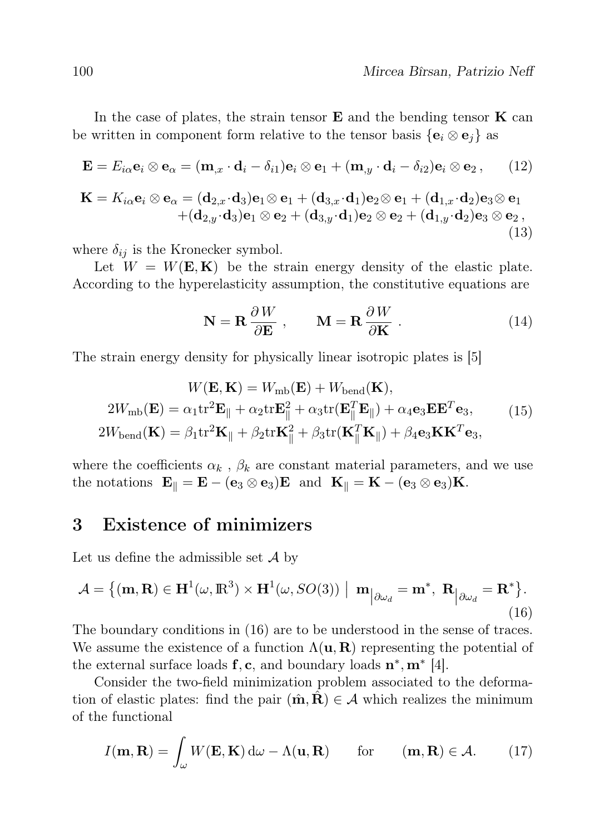In the case of plates, the strain tensor  $E$  and the bending tensor  $K$  can be written in component form relative to the tensor basis  $\{e_i \otimes e_j\}$  as

$$
\mathbf{E} = E_{i\alpha} \mathbf{e}_i \otimes \mathbf{e}_\alpha = (\mathbf{m}_{,x} \cdot \mathbf{d}_i - \delta_{i1}) \mathbf{e}_i \otimes \mathbf{e}_1 + (\mathbf{m}_{,y} \cdot \mathbf{d}_i - \delta_{i2}) \mathbf{e}_i \otimes \mathbf{e}_2 , \qquad (12)
$$

$$
\mathbf{K} = K_{i\alpha}\mathbf{e}_i \otimes \mathbf{e}_\alpha = (\mathbf{d}_{2,x} \cdot \mathbf{d}_3)\mathbf{e}_1 \otimes \mathbf{e}_1 + (\mathbf{d}_{3,x} \cdot \mathbf{d}_1)\mathbf{e}_2 \otimes \mathbf{e}_1 + (\mathbf{d}_{1,x} \cdot \mathbf{d}_2)\mathbf{e}_3 \otimes \mathbf{e}_1 + (\mathbf{d}_{2,y} \cdot \mathbf{d}_3)\mathbf{e}_1 \otimes \mathbf{e}_2 + (\mathbf{d}_{3,y} \cdot \mathbf{d}_1)\mathbf{e}_2 \otimes \mathbf{e}_2 + (\mathbf{d}_{1,y} \cdot \mathbf{d}_2)\mathbf{e}_3 \otimes \mathbf{e}_2,
$$
(13)

where  $\delta_{ij}$  is the Kronecker symbol.

Let  $W = W(E, K)$  be the strain energy density of the elastic plate. According to the hyperelasticity assumption, the constitutive equations are

$$
\mathbf{N} = \mathbf{R} \frac{\partial W}{\partial \mathbf{E}} , \qquad \mathbf{M} = \mathbf{R} \frac{\partial W}{\partial \mathbf{K}} .
$$
 (14)

The strain energy density for physically linear isotropic plates is [5]

$$
W(\mathbf{E}, \mathbf{K}) = W_{\text{mb}}(\mathbf{E}) + W_{\text{bend}}(\mathbf{K}),
$$
  
\n
$$
2W_{\text{mb}}(\mathbf{E}) = \alpha_1 \text{tr}^2 \mathbf{E}_{\parallel} + \alpha_2 \text{tr} \mathbf{E}_{\parallel}^2 + \alpha_3 \text{tr}(\mathbf{E}_{\parallel}^T \mathbf{E}_{\parallel}) + \alpha_4 \mathbf{e}_3 \mathbf{E} \mathbf{E}^T \mathbf{e}_3,
$$
  
\n
$$
2W_{\text{bend}}(\mathbf{K}) = \beta_1 \text{tr}^2 \mathbf{K}_{\parallel} + \beta_2 \text{tr} \mathbf{K}_{\parallel}^2 + \beta_3 \text{tr}(\mathbf{K}_{\parallel}^T \mathbf{K}_{\parallel}) + \beta_4 \mathbf{e}_3 \mathbf{K} \mathbf{K}^T \mathbf{e}_3,
$$
\n(15)

where the coefficients  $\alpha_k$ ,  $\beta_k$  are constant material parameters, and we use the notations  $\mathbf{E}_{\parallel} = \mathbf{E} - (\mathbf{e}_3 \otimes \mathbf{e}_3) \mathbf{E}$  and  $\mathbf{K}_{\parallel} = \mathbf{K} - (\mathbf{e}_3 \otimes \mathbf{e}_3) \mathbf{K}$ .

### 3 Existence of minimizers

Let us define the admissible set  $\mathcal A$  by

$$
\mathcal{A} = \{ (\mathbf{m}, \mathbf{R}) \in \mathbf{H}^1(\omega, \mathbb{R}^3) \times \mathbf{H}^1(\omega, SO(3)) \mid \mathbf{m}_{\vert \partial \omega_d} = \mathbf{m}^*, \ \mathbf{R}_{\vert \partial \omega_d} = \mathbf{R}^* \}.
$$
\n(16)

The boundary conditions in (16) are to be understood in the sense of traces. We assume the existence of a function  $\Lambda(\mathbf{u}, \mathbf{R})$  representing the potential of the external surface loads  $f, c$ , and boundary loads  $n^*, m^*$  [4].

Consider the two-field minimization problem associated to the deformation of elastic plates: find the pair  $(\hat{\mathbf{m}}, \mathbf{R}) \in \mathcal{A}$  which realizes the minimum of the functional

$$
I(\mathbf{m}, \mathbf{R}) = \int_{\omega} W(\mathbf{E}, \mathbf{K}) \, d\omega - \Lambda(\mathbf{u}, \mathbf{R}) \quad \text{for} \quad (\mathbf{m}, \mathbf{R}) \in \mathcal{A}.
$$
 (17)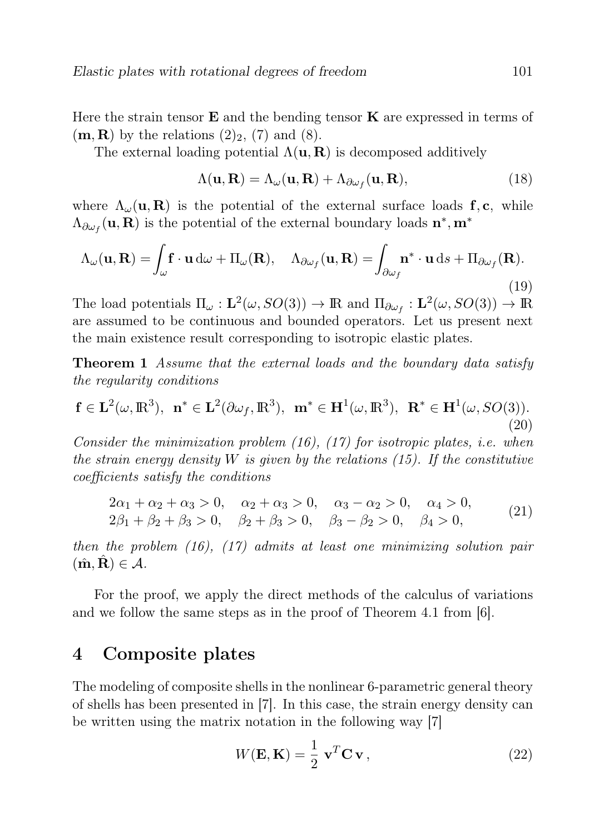Here the strain tensor  $E$  and the bending tensor  $K$  are expressed in terms of  $(m, R)$  by the relations  $(2)_2$ ,  $(7)$  and  $(8)$ .

The external loading potential  $\Lambda(\mathbf{u}, \mathbf{R})$  is decomposed additively

$$
\Lambda(\mathbf{u}, \mathbf{R}) = \Lambda_{\omega}(\mathbf{u}, \mathbf{R}) + \Lambda_{\partial \omega_f}(\mathbf{u}, \mathbf{R}),
$$
\n(18)

where  $\Lambda_{\omega}({\bf u}, {\bf R})$  is the potential of the external surface loads f, c, while  $\Lambda_{\partial \omega_f}(\mathbf{u}, \mathbf{R})$  is the potential of the external boundary loads  $\mathbf{n}^*, \mathbf{m}^*$ 

$$
\Lambda_{\omega}(\mathbf{u}, \mathbf{R}) = \int_{\omega} \mathbf{f} \cdot \mathbf{u} \, d\omega + \Pi_{\omega}(\mathbf{R}), \quad \Lambda_{\partial \omega_f}(\mathbf{u}, \mathbf{R}) = \int_{\partial \omega_f} \mathbf{n}^* \cdot \mathbf{u} \, ds + \Pi_{\partial \omega_f}(\mathbf{R}).
$$
\n(19)

The load potentials  $\Pi_{\omega} : L^2(\omega, SO(3)) \to \mathbb{R}$  and  $\Pi_{\partial \omega_f} : L^2(\omega, SO(3)) \to \mathbb{R}$ are assumed to be continuous and bounded operators. Let us present next the main existence result corresponding to isotropic elastic plates.

Theorem 1 Assume that the external loads and the boundary data satisfy the regularity conditions

$$
\mathbf{f} \in \mathbf{L}^2(\omega, \mathbb{R}^3), \ \mathbf{n}^* \in \mathbf{L}^2(\partial \omega_f, \mathbb{R}^3), \ \mathbf{m}^* \in \mathbf{H}^1(\omega, \mathbb{R}^3), \ \mathbf{R}^* \in \mathbf{H}^1(\omega, SO(3)).
$$
\n(20)

Consider the minimization problem  $(16)$ ,  $(17)$  for isotropic plates, i.e. when the strain energy density W is given by the relations  $(15)$ . If the constitutive coefficients satisfy the conditions

$$
2\alpha_1 + \alpha_2 + \alpha_3 > 0, \quad \alpha_2 + \alpha_3 > 0, \quad \alpha_3 - \alpha_2 > 0, \quad \alpha_4 > 0, 2\beta_1 + \beta_2 + \beta_3 > 0, \quad \beta_2 + \beta_3 > 0, \quad \beta_3 - \beta_2 > 0, \quad \beta_4 > 0,
$$
\n
$$
(21)
$$

then the problem (16), (17) admits at least one minimizing solution pair  $(\hat{\mathbf{m}}, \mathbf{R}) \in \mathcal{A}.$ 

For the proof, we apply the direct methods of the calculus of variations and we follow the same steps as in the proof of Theorem 4.1 from [6].

### 4 Composite plates

The modeling of composite shells in the nonlinear 6-parametric general theory of shells has been presented in [7]. In this case, the strain energy density can be written using the matrix notation in the following way [7]

$$
W(\mathbf{E}, \mathbf{K}) = \frac{1}{2} \mathbf{v}^T \mathbf{C} \mathbf{v},
$$
 (22)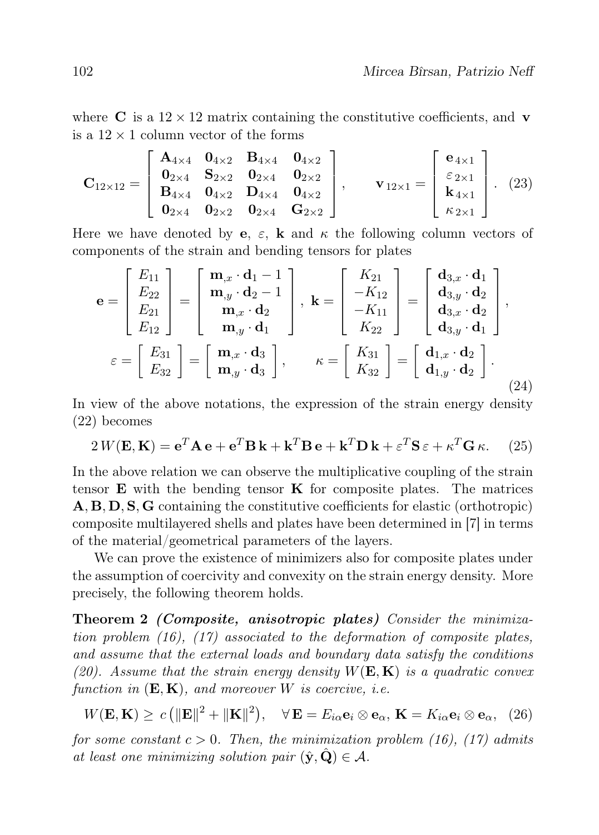where C is a  $12 \times 12$  matrix containing the constitutive coefficients, and v is a  $12 \times 1$  column vector of the forms

$$
\mathbf{C}_{12\times12} = \begin{bmatrix} \mathbf{A}_{4\times4} & \mathbf{0}_{4\times2} & \mathbf{B}_{4\times4} & \mathbf{0}_{4\times2} \\ \mathbf{0}_{2\times4} & \mathbf{S}_{2\times2} & \mathbf{0}_{2\times4} & \mathbf{0}_{2\times2} \\ \mathbf{B}_{4\times4} & \mathbf{0}_{4\times2} & \mathbf{D}_{4\times4} & \mathbf{0}_{4\times2} \\ \mathbf{0}_{2\times4} & \mathbf{0}_{2\times2} & \mathbf{0}_{2\times4} & \mathbf{G}_{2\times2} \end{bmatrix}, \qquad \mathbf{v}_{12\times1} = \begin{bmatrix} \mathbf{e}_{4\times1} \\ \varepsilon_{2\times1} \\ \mathbf{k}_{4\times1} \\ \kappa_{2\times1} \end{bmatrix}.
$$
 (23)

Here we have denoted by **e**,  $\varepsilon$ , **k** and  $\kappa$  the following column vectors of components of the strain and bending tensors for plates

$$
\mathbf{e} = \begin{bmatrix} E_{11} \\ E_{22} \\ E_{21} \\ E_{12} \end{bmatrix} = \begin{bmatrix} \mathbf{m}_{,x} \cdot \mathbf{d}_{1} - 1 \\ \mathbf{m}_{,y} \cdot \mathbf{d}_{2} - 1 \\ \mathbf{m}_{,x} \cdot \mathbf{d}_{2} \\ \mathbf{m}_{,y} \cdot \mathbf{d}_{1} \end{bmatrix}, \quad \mathbf{k} = \begin{bmatrix} K_{21} \\ -K_{12} \\ -K_{11} \\ K_{22} \end{bmatrix} = \begin{bmatrix} \mathbf{d}_{3,x} \cdot \mathbf{d}_{1} \\ \mathbf{d}_{3,y} \cdot \mathbf{d}_{2} \\ \mathbf{d}_{3,x} \cdot \mathbf{d}_{2} \\ \mathbf{d}_{3,y} \cdot \mathbf{d}_{1} \end{bmatrix},
$$

$$
\varepsilon = \begin{bmatrix} E_{31} \\ E_{32} \end{bmatrix} = \begin{bmatrix} \mathbf{m}_{,x} \cdot \mathbf{d}_{3} \\ \mathbf{m}_{,y} \cdot \mathbf{d}_{3} \end{bmatrix}, \qquad \kappa = \begin{bmatrix} K_{31} \\ K_{32} \end{bmatrix} = \begin{bmatrix} \mathbf{d}_{1,x} \cdot \mathbf{d}_{2} \\ \mathbf{d}_{1,y} \cdot \mathbf{d}_{2} \end{bmatrix}.
$$
(24)

In view of the above notations, the expression of the strain energy density (22) becomes

$$
2W(\mathbf{E}, \mathbf{K}) = \mathbf{e}^T \mathbf{A} \mathbf{e} + \mathbf{e}^T \mathbf{B} \mathbf{k} + \mathbf{k}^T \mathbf{B} \mathbf{e} + \mathbf{k}^T \mathbf{D} \mathbf{k} + \varepsilon^T \mathbf{S} \varepsilon + \kappa^T \mathbf{G} \kappa.
$$
 (25)

In the above relation we can observe the multiplicative coupling of the strain tensor  $E$  with the bending tensor  $K$  for composite plates. The matrices A, B, D, S, G containing the constitutive coefficients for elastic (orthotropic) composite multilayered shells and plates have been determined in [7] in terms of the material/geometrical parameters of the layers.

We can prove the existence of minimizers also for composite plates under the assumption of coercivity and convexity on the strain energy density. More precisely, the following theorem holds.

Theorem 2 (Composite, anisotropic plates) Consider the minimization problem  $(16)$ ,  $(17)$  associated to the deformation of composite plates, and assume that the external loads and boundary data satisfy the conditions (20). Assume that the strain energy density  $W(E, K)$  is a quadratic convex function in  $(E, K)$ , and moreover W is coercive, i.e.

 $W(\mathbf{E}, \mathbf{K}) \ge c \left( \|\mathbf{E}\|^2 + \|\mathbf{K}\|^2 \right), \quad \forall \, \mathbf{E} = E_{i\alpha} \mathbf{e}_i \otimes \mathbf{e}_\alpha, \, \mathbf{K} = K_{i\alpha} \mathbf{e}_i \otimes \mathbf{e}_\alpha, \tag{26}$ 

for some constant  $c > 0$ . Then, the minimization problem (16), (17) admits at least one minimizing solution pair  $(\hat{\mathbf{y}}, \hat{\mathbf{Q}}) \in \mathcal{A}$ .